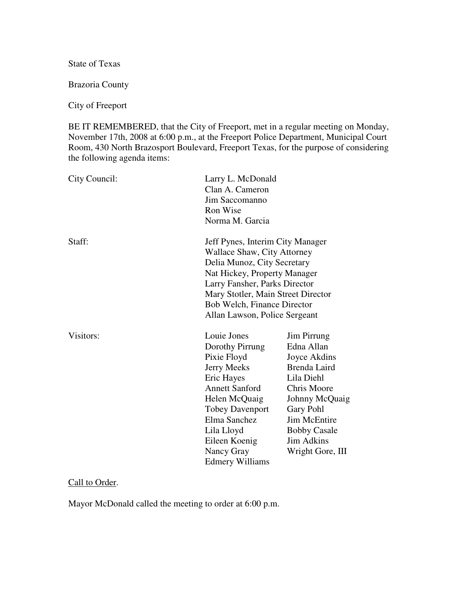State of Texas

Brazoria County

City of Freeport

BE IT REMEMBERED, that the City of Freeport, met in a regular meeting on Monday, November 17th, 2008 at 6:00 p.m., at the Freeport Police Department, Municipal Court Room, 430 North Brazosport Boulevard, Freeport Texas, for the purpose of considering the following agenda items:

| City Council: | Clan A. Cameron<br>Jim Saccomanno<br>Ron Wise<br>Norma M. Garcia                                                                                                                                                                             | Larry L. McDonald                                                                                                                                                                                                                                                            |  |
|---------------|----------------------------------------------------------------------------------------------------------------------------------------------------------------------------------------------------------------------------------------------|------------------------------------------------------------------------------------------------------------------------------------------------------------------------------------------------------------------------------------------------------------------------------|--|
| Staff:        |                                                                                                                                                                                                                                              | Jeff Pynes, Interim City Manager<br><b>Wallace Shaw, City Attorney</b><br>Delia Munoz, City Secretary<br>Nat Hickey, Property Manager<br>Larry Fansher, Parks Director<br>Mary Stotler, Main Street Director<br>Bob Welch, Finance Director<br>Allan Lawson, Police Sergeant |  |
| Visitors:     | Louie Jones<br>Dorothy Pirrung<br>Pixie Floyd<br><b>Jerry Meeks</b><br>Eric Hayes<br><b>Annett Sanford</b><br>Helen McQuaig<br><b>Tobey Davenport</b><br>Elma Sanchez<br>Lila Lloyd<br>Eileen Koenig<br>Nancy Gray<br><b>Edmery Williams</b> | Jim Pirrung<br>Edna Allan<br>Joyce Akdins<br>Brenda Laird<br>Lila Diehl<br>Chris Moore<br>Johnny McQuaig<br>Gary Pohl<br><b>Jim McEntire</b><br><b>Bobby Casale</b><br><b>Jim Adkins</b><br>Wright Gore, III                                                                 |  |

# Call to Order.

Mayor McDonald called the meeting to order at 6:00 p.m.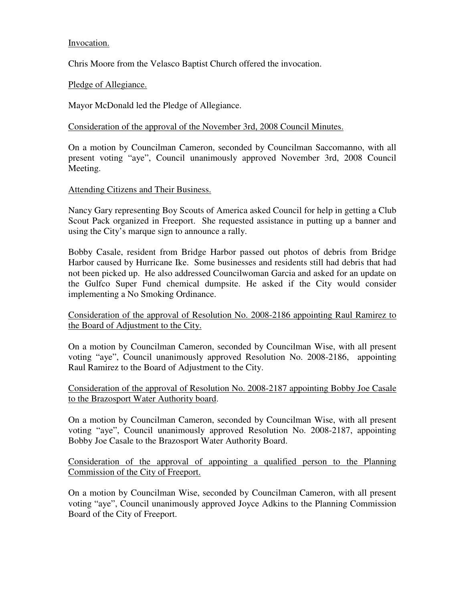# Invocation.

Chris Moore from the Velasco Baptist Church offered the invocation.

# Pledge of Allegiance.

Mayor McDonald led the Pledge of Allegiance.

Consideration of the approval of the November 3rd, 2008 Council Minutes.

On a motion by Councilman Cameron, seconded by Councilman Saccomanno, with all present voting "aye", Council unanimously approved November 3rd, 2008 Council Meeting.

### Attending Citizens and Their Business.

Nancy Gary representing Boy Scouts of America asked Council for help in getting a Club Scout Pack organized in Freeport. She requested assistance in putting up a banner and using the City's marque sign to announce a rally.

Bobby Casale, resident from Bridge Harbor passed out photos of debris from Bridge Harbor caused by Hurricane Ike. Some businesses and residents still had debris that had not been picked up. He also addressed Councilwoman Garcia and asked for an update on the Gulfco Super Fund chemical dumpsite. He asked if the City would consider implementing a No Smoking Ordinance.

Consideration of the approval of Resolution No. 2008-2186 appointing Raul Ramirez to the Board of Adjustment to the City.

On a motion by Councilman Cameron, seconded by Councilman Wise, with all present voting "aye", Council unanimously approved Resolution No. 2008-2186, appointing Raul Ramirez to the Board of Adjustment to the City.

Consideration of the approval of Resolution No. 2008-2187 appointing Bobby Joe Casale to the Brazosport Water Authority board.

On a motion by Councilman Cameron, seconded by Councilman Wise, with all present voting "aye", Council unanimously approved Resolution No. 2008-2187, appointing Bobby Joe Casale to the Brazosport Water Authority Board.

Consideration of the approval of appointing a qualified person to the Planning Commission of the City of Freeport.

On a motion by Councilman Wise, seconded by Councilman Cameron, with all present voting "aye", Council unanimously approved Joyce Adkins to the Planning Commission Board of the City of Freeport.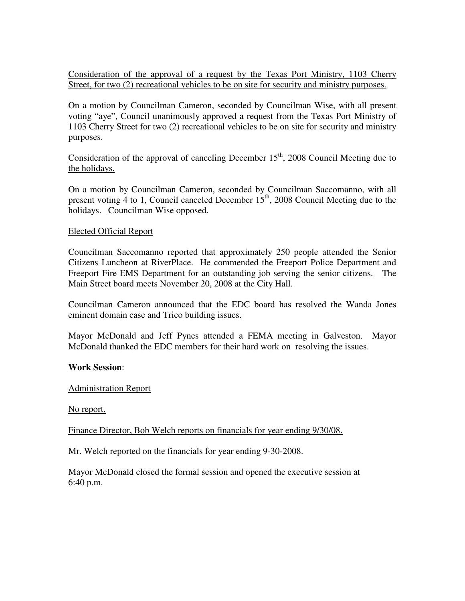Consideration of the approval of a request by the Texas Port Ministry, 1103 Cherry Street, for two (2) recreational vehicles to be on site for security and ministry purposes.

On a motion by Councilman Cameron, seconded by Councilman Wise, with all present voting "aye", Council unanimously approved a request from the Texas Port Ministry of 1103 Cherry Street for two (2) recreational vehicles to be on site for security and ministry purposes.

Consideration of the approval of canceling December  $15<sup>th</sup>$ , 2008 Council Meeting due to the holidays.

On a motion by Councilman Cameron, seconded by Councilman Saccomanno, with all present voting 4 to 1, Council canceled December  $15<sup>th</sup>$ , 2008 Council Meeting due to the holidays. Councilman Wise opposed.

### Elected Official Report

Councilman Saccomanno reported that approximately 250 people attended the Senior Citizens Luncheon at RiverPlace. He commended the Freeport Police Department and Freeport Fire EMS Department for an outstanding job serving the senior citizens. The Main Street board meets November 20, 2008 at the City Hall.

Councilman Cameron announced that the EDC board has resolved the Wanda Jones eminent domain case and Trico building issues.

Mayor McDonald and Jeff Pynes attended a FEMA meeting in Galveston. Mayor McDonald thanked the EDC members for their hard work on resolving the issues.

#### **Work Session**:

#### Administration Report

No report.

Finance Director, Bob Welch reports on financials for year ending 9/30/08.

Mr. Welch reported on the financials for year ending 9-30-2008.

Mayor McDonald closed the formal session and opened the executive session at 6:40 p.m.